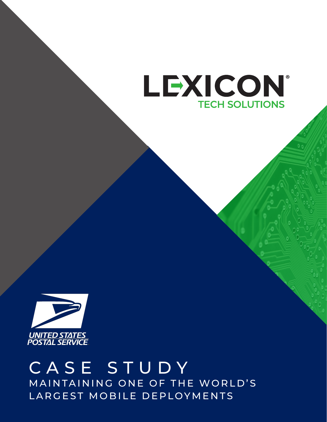



## CASE STUDY MAINTAINING ONE OF THE WORLD'S LARGEST MOBILE DEPLOYMENTS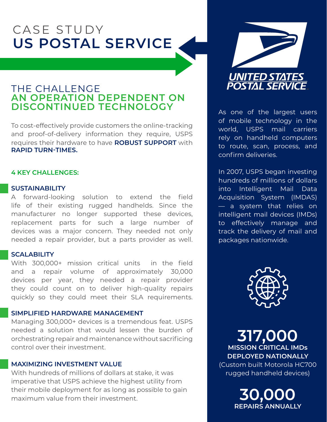# CASE STUDY **US POSTAL SERVICE**

## THE CHALLENGE **AN OPERATION DEPENDENT ON DISCONTINUED TECHNOLOGY**

To cost-effectively provide customers the online-tracking and proof-of-delivery information they require, USPS requires their hardware to have **ROBUST SUPPORT** with **RAPID TURN-TIMES.**

### **4 KEY CHALLENGES:**

#### **SUSTAINABILITY**

A forward-looking solution to extend the field life of their existing rugged handhelds. Since the manufacturer no longer supported these devices, replacement parts for such a large number of devices was a major concern. They needed not only needed a repair provider, but a parts provider as well.

#### **SCALABILITY**

With 300,000+ mission critical units in the field and a repair volume of approximately 30,000 devices per year, they needed a repair provider they could count on to deliver high-quality repairs quickly so they could meet their SLA requirements.

#### **SIMPLIFIED HARDWARE MANAGEMENT**

Managing 300,000+ devices is a tremendous feat. USPS needed a solution that would lessen the burden of orchestrating repair and maintenance without sacrificing control over their investment.

## **MAXIMIZING INVESTMENT VALUE**

With hundreds of millions of dollars at stake, it was imperative that USPS achieve the highest utility from their mobile deployment for as long as possible to gain maximum value from their investment.



As one of the largest users of mobile technology in the world, USPS mail carriers rely on handheld computers to route, scan, process, and confirm deliveries.

In 2007, USPS began investing hundreds of millions of dollars into Intelligent Mail Data Acquisition System (IMDAS) — a system that relies on intelligent mail devices (IMDs) to effectively manage and track the delivery of mail and packages nationwide.



**317,000 MISSION CRITICAL IMDs DEPLOYED NATIONALLY** (Custom built Motorola HC700 rugged handheld devices)

> **30,000 REPAIRS ANNUALLY**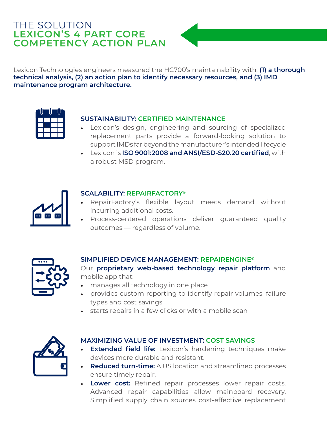## THE SOLUTION **LEXICON'S 4 PART CORE COMPETENCY ACTION PLAN**



Lexicon Technologies engineers measured the HC700's maintainability with: **(1) a thorough technical analysis, (2) an action plan to identify necessary resources, and (3) IMD maintenance program architecture.**



## **SUSTAINABILITY: CERTIFIED MAINTENANCE**

- Lexicon's design, engineering and sourcing of specialized replacement parts provide a forward-looking solution to support IMDs far beyond the manufacturer's intended lifecycle
- Lexicon is **ISO 9001:2008 and ANSI/ESD-S20.20 certified**, with a robust MSD program.



## **SCALABILITY: REPAIRFACTORY®**

- RepairFactory's flexible layout meets demand without incurring additional costs.
- Process-centered operations deliver guaranteed quality outcomes — regardless of volume.



## **SIMPLIFIED DEVICE MANAGEMENT: REPAIRENGINE®**

Our **proprietary web-based technology repair platform** and mobile app that:

- manages all technology in one place
- provides custom reporting to identify repair volumes, failure types and cost savings
- starts repairs in a few clicks or with a mobile scan



## **MAXIMIZING VALUE OF INVESTMENT: COST SAVINGS**

- **Extended field life:** Lexicon's hardening techniques make devices more durable and resistant.
- **Reduced turn-time:** A US location and streamlined processes ensure timely repair.
- **Lower cost:** Refined repair processes lower repair costs. Advanced repair capabilities allow mainboard recovery. Simplified supply chain sources cost-effective replacement